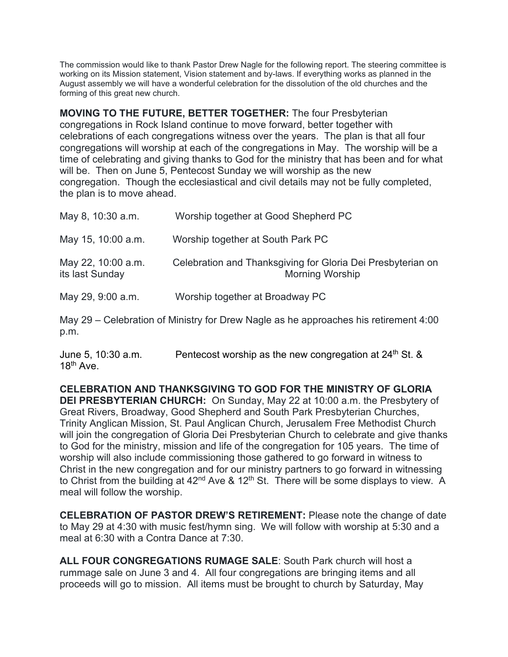The commission would like to thank Pastor Drew Nagle for the following report. The steering committee is working on its Mission statement, Vision statement and by-laws. If everything works as planned in the August assembly we will have a wonderful celebration for the dissolution of the old churches and the forming of this great new church.

**MOVING TO THE FUTURE, BETTER TOGETHER:** The four Presbyterian congregations in Rock Island continue to move forward, better together with celebrations of each congregations witness over the years. The plan is that all four congregations will worship at each of the congregations in May. The worship will be a time of celebrating and giving thanks to God for the ministry that has been and for what will be. Then on June 5, Pentecost Sunday we will worship as the new congregation. Though the ecclesiastical and civil details may not be fully completed, the plan is to move ahead.

| May 8, 10:30 a.m.                                                                                                       | Worship together at Good Shepherd PC                                                  |
|-------------------------------------------------------------------------------------------------------------------------|---------------------------------------------------------------------------------------|
| May 15, 10:00 a.m.                                                                                                      | Worship together at South Park PC                                                     |
| May 22, 10:00 a.m.<br>its last Sunday                                                                                   | Celebration and Thanksgiving for Gloria Dei Presbyterian on<br><b>Morning Worship</b> |
| May 29, 9:00 a.m.                                                                                                       | Worship together at Broadway PC                                                       |
| May 29 – Celebration of Ministry for Drew Nagle as he approaches his retirement 4:00<br>p.m.                            |                                                                                       |
| $\blacksquare$ $\blacksquare$ $\blacksquare$ $\blacksquare$ $\blacksquare$ $\blacksquare$ $\blacksquare$ $\blacksquare$ |                                                                                       |

18<sup>th</sup> Ave.

June 5, 10:30 a.m. **Pentecost worship as the new congregation at 24th St. &** 

**CELEBRATION AND THANKSGIVING TO GOD FOR THE MINISTRY OF GLORIA DEI PRESBYTERIAN CHURCH:** On Sunday, May 22 at 10:00 a.m. the Presbytery of Great Rivers, Broadway, Good Shepherd and South Park Presbyterian Churches, Trinity Anglican Mission, St. Paul Anglican Church, Jerusalem Free Methodist Church will join the congregation of Gloria Dei Presbyterian Church to celebrate and give thanks to God for the ministry, mission and life of the congregation for 105 years. The time of worship will also include commissioning those gathered to go forward in witness to Christ in the new congregation and for our ministry partners to go forward in witnessing to Christ from the building at  $42<sup>nd</sup>$  Ave & 12<sup>th</sup> St. There will be some displays to view. A meal will follow the worship.

**CELEBRATION OF PASTOR DREW'S RETIREMENT:** Please note the change of date to May 29 at 4:30 with music fest/hymn sing. We will follow with worship at 5:30 and a meal at 6:30 with a Contra Dance at 7:30.

**ALL FOUR CONGREGATIONS RUMAGE SALE**: South Park church will host a rummage sale on June 3 and 4. All four congregations are bringing items and all proceeds will go to mission. All items must be brought to church by Saturday, May